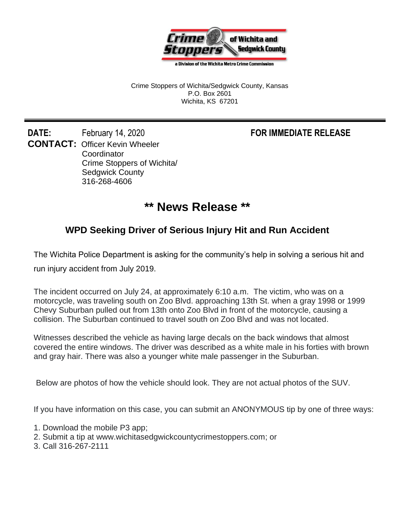

a Division of the Wichita Metro Crime Commission

Crime Stoppers of Wichita/Sedgwick County, Kansas P.O. Box 2601 Wichita, KS 67201

**DATE:** February 14, 2020 **FOR IMMEDIATE RELEASE CONTACT:** Officer Kevin Wheeler **Coordinator** Crime Stoppers of Wichita/ Sedgwick County 316-268-4606

## **\*\* News Release \*\***

## **WPD Seeking Driver of Serious Injury Hit and Run Accident**

The Wichita Police Department is asking for the community's help in solving a serious hit and

run injury accident from July 2019.

The incident occurred on July 24, at approximately 6:10 a.m. The victim, who was on a motorcycle, was traveling south on Zoo Blvd. approaching 13th St. when a gray 1998 or 1999 Chevy Suburban pulled out from 13th onto Zoo Blvd in front of the motorcycle, causing a collision. The Suburban continued to travel south on Zoo Blvd and was not located.

Witnesses described the vehicle as having large decals on the back windows that almost covered the entire windows. The driver was described as a white male in his forties with brown and gray hair. There was also a younger white male passenger in the Suburban.

Below are photos of how the vehicle should look. They are not actual photos of the SUV.

If you have information on this case, you can submit an ANONYMOUS tip by one of three ways:

- 1. Download the mobile P3 app;
- 2. Submit a tip at www.wichitasedgwickcountycrimestoppers.com; or
- 3. Call 316-267-2111